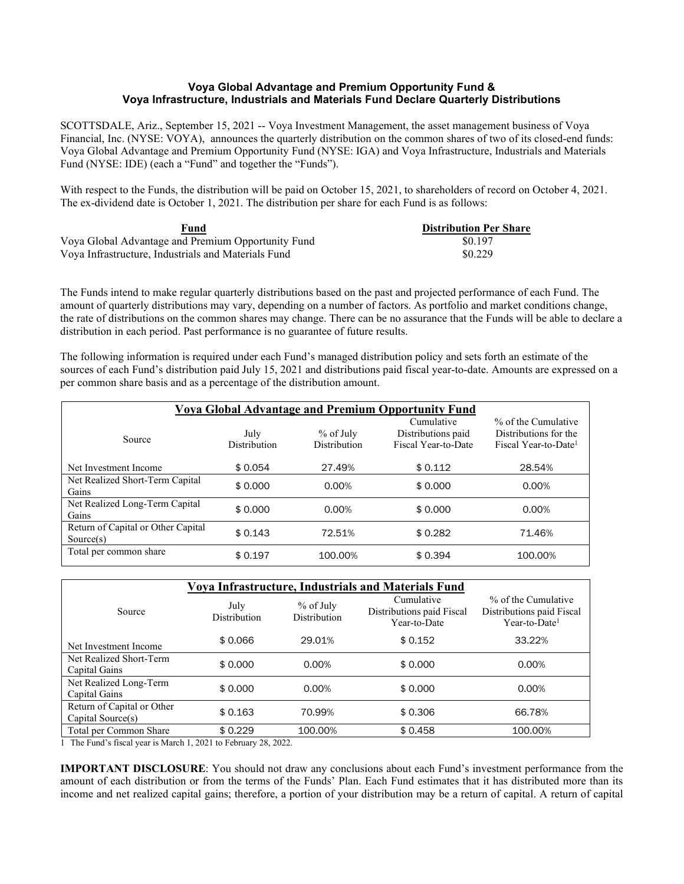## **Voya Global Advantage and Premium Opportunity Fund & Voya Infrastructure, Industrials and Materials Fund Declare Quarterly Distributions**

SCOTTSDALE, Ariz., September 15, 2021 -- Voya Investment Management, the asset management business of Voya Financial, Inc. (NYSE: VOYA), announces the quarterly distribution on the common shares of two of its closed-end funds: Voya Global Advantage and Premium Opportunity Fund (NYSE: IGA) and Voya Infrastructure, Industrials and Materials Fund (NYSE: IDE) (each a "Fund" and together the "Funds").

With respect to the Funds, the distribution will be paid on October 15, 2021, to shareholders of record on October 4, 2021. The ex-dividend date is October 1, 2021. The distribution per share for each Fund is as follows:

| Fund                                                | <b>Distribution Per Share</b> |
|-----------------------------------------------------|-------------------------------|
| Voya Global Advantage and Premium Opportunity Fund  | \$0.197                       |
| Vova Infrastructure. Industrials and Materials Fund | \$0.229                       |

The Funds intend to make regular quarterly distributions based on the past and projected performance of each Fund. The amount of quarterly distributions may vary, depending on a number of factors. As portfolio and market conditions change, the rate of distributions on the common shares may change. There can be no assurance that the Funds will be able to declare a distribution in each period. Past performance is no guarantee of future results.

The following information is required under each Fund's managed distribution policy and sets forth an estimate of the sources of each Fund's distribution paid July 15, 2021 and distributions paid fiscal year-to-date. Amounts are expressed on a per common share basis and as a percentage of the distribution amount.

| <b>Voya Global Advantage and Premium Opportunity Fund</b> |                             |                                  |                                                         |                                                                                  |
|-----------------------------------------------------------|-----------------------------|----------------------------------|---------------------------------------------------------|----------------------------------------------------------------------------------|
| Source                                                    | July<br><b>Distribution</b> | % of July<br><b>Distribution</b> | Cumulative<br>Distributions paid<br>Fiscal Year-to-Date | % of the Cumulative<br>Distributions for the<br>Fiscal Year-to-Date <sup>1</sup> |
| Net Investment Income                                     | \$0.054                     | 27.49%                           | \$0.112                                                 | 28.54%                                                                           |
| Net Realized Short-Term Capital<br>Gains                  | \$0.000                     | 0.00%                            | \$0.000                                                 | 0.00%                                                                            |
| Net Realized Long-Term Capital<br>Gains                   | \$0.000                     | 0.00%                            | \$0.000                                                 | $0.00\%$                                                                         |
| Return of Capital or Other Capital<br>Source(s)           | \$0.143                     | 72.51%                           | \$0.282                                                 | 71.46%                                                                           |
| Total per common share                                    | \$0.197                     | 100.00%                          | \$0.394                                                 | 100.00%                                                                          |

| Voya Infrastructure, Industrials and Materials Fund                                                                  |                                                    |                                    |                                                         |                                                                               |  |
|----------------------------------------------------------------------------------------------------------------------|----------------------------------------------------|------------------------------------|---------------------------------------------------------|-------------------------------------------------------------------------------|--|
| Source                                                                                                               | July<br>Distribution                               | $%$ of July<br><b>Distribution</b> | Cumulative<br>Distributions paid Fiscal<br>Year-to-Date | % of the Cumulative<br>Distributions paid Fiscal<br>Year-to-Date <sup>1</sup> |  |
| Net Investment Income                                                                                                | \$0.066                                            | 29.01%                             | \$0.152                                                 | 33.22%                                                                        |  |
| Net Realized Short-Term<br>Capital Gains                                                                             | \$0.000                                            | 0.00%                              | \$0.000                                                 | 0.00%                                                                         |  |
| Net Realized Long-Term<br>Capital Gains                                                                              | \$0.000                                            | 0.00%                              | \$0.000                                                 | 0.00%                                                                         |  |
| Return of Capital or Other<br>Capital Source(s)                                                                      | \$0.163                                            | 70.99%                             | \$0.306                                                 | 66.78%                                                                        |  |
| Total per Common Share<br>$\mathbf{m}$ $\mathbf{n}$ $\mathbf{u}$ $\mathbf{v}$ $\mathbf{u}$ $\mathbf{v}$ $\mathbf{v}$ | \$0.229<br>0.001<br>1 <sub>1</sub><br>0.0000<br>T1 | 100.00%                            | \$0.458                                                 | 100.00%                                                                       |  |

1 The Fund's fiscal year is March 1, 2021 to February 28, 2022.

**IMPORTANT DISCLOSURE**: You should not draw any conclusions about each Fund's investment performance from the amount of each distribution or from the terms of the Funds' Plan. Each Fund estimates that it has distributed more than its income and net realized capital gains; therefore, a portion of your distribution may be a return of capital. A return of capital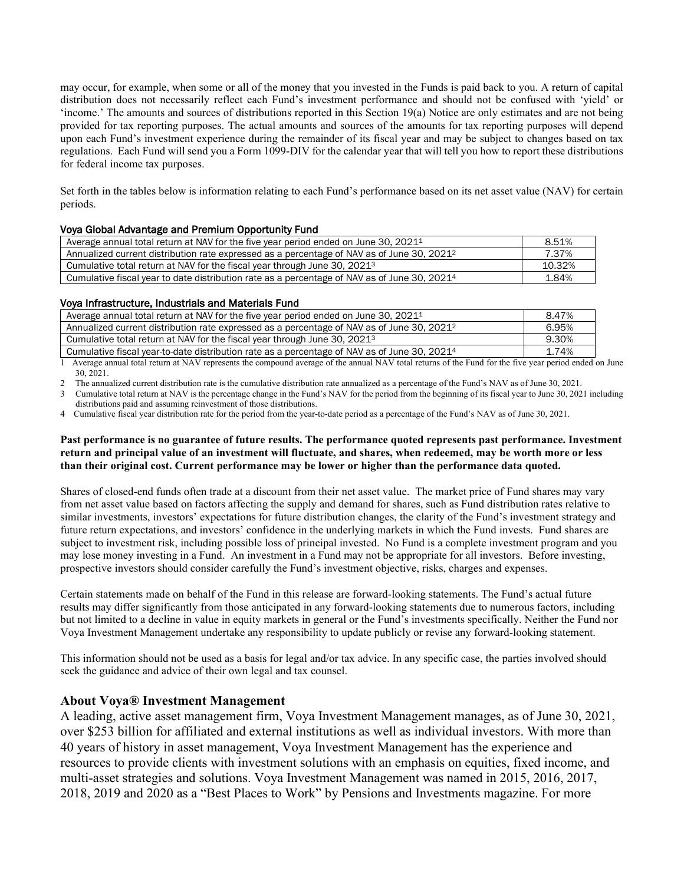may occur, for example, when some or all of the money that you invested in the Funds is paid back to you. A return of capital distribution does not necessarily reflect each Fund's investment performance and should not be confused with 'yield' or 'income.' The amounts and sources of distributions reported in this Section 19(a) Notice are only estimates and are not being provided for tax reporting purposes. The actual amounts and sources of the amounts for tax reporting purposes will depend upon each Fund's investment experience during the remainder of its fiscal year and may be subject to changes based on tax regulations. Each Fund will send you a Form 1099-DIV for the calendar year that will tell you how to report these distributions for federal income tax purposes.

Set forth in the tables below is information relating to each Fund's performance based on its net asset value (NAV) for certain periods.

## Voya Global Advantage and Premium Opportunity Fund

| Average annual total return at NAV for the five year period ended on June 30, 2021 <sup>1</sup>          | 8.51%  |
|----------------------------------------------------------------------------------------------------------|--------|
| Annualized current distribution rate expressed as a percentage of NAV as of June 30, 2021 <sup>2</sup>   | 7.37%  |
| Cumulative total return at NAV for the fiscal year through June 30, 2021 <sup>3</sup>                    | 10.32% |
| Cumulative fiscal year to date distribution rate as a percentage of NAV as of June 30, 2021 <sup>4</sup> | 1.84%  |

#### Voya Infrastructure, Industrials and Materials Fund

| Average annual total return at NAV for the five year period ended on June 30, 2021 <sup>1</sup>          | 8.47% |
|----------------------------------------------------------------------------------------------------------|-------|
| Annualized current distribution rate expressed as a percentage of NAV as of June 30, 2021 <sup>2</sup>   | 6.95% |
| Cumulative total return at NAV for the fiscal year through June 30, 2021 <sup>3</sup>                    | 9.30% |
| Cumulative fiscal year-to-date distribution rate as a percentage of NAV as of June 30, 2021 <sup>4</sup> | 1.74% |

1 Average annual total return at NAV represents the compound average of the annual NAV total returns of the Fund for the five year period ended on June 30, 2021.

2 The annualized current distribution rate is the cumulative distribution rate annualized as a percentage of the Fund's NAV as of June 30, 2021.

3 Cumulative total return at NAV is the percentage change in the Fund's NAV for the period from the beginning of its fiscal year to June 30, 2021 including distributions paid and assuming reinvestment of those distributions.

4 Cumulative fiscal year distribution rate for the period from the year-to-date period as a percentage of the Fund's NAV as of June 30, 2021.

### **Past performance is no guarantee of future results. The performance quoted represents past performance. Investment return and principal value of an investment will fluctuate, and shares, when redeemed, may be worth more or less than their original cost. Current performance may be lower or higher than the performance data quoted.**

Shares of closed-end funds often trade at a discount from their net asset value. The market price of Fund shares may vary from net asset value based on factors affecting the supply and demand for shares, such as Fund distribution rates relative to similar investments, investors' expectations for future distribution changes, the clarity of the Fund's investment strategy and future return expectations, and investors' confidence in the underlying markets in which the Fund invests. Fund shares are subject to investment risk, including possible loss of principal invested. No Fund is a complete investment program and you may lose money investing in a Fund. An investment in a Fund may not be appropriate for all investors. Before investing, prospective investors should consider carefully the Fund's investment objective, risks, charges and expenses.

Certain statements made on behalf of the Fund in this release are forward-looking statements. The Fund's actual future results may differ significantly from those anticipated in any forward-looking statements due to numerous factors, including but not limited to a decline in value in equity markets in general or the Fund's investments specifically. Neither the Fund nor Voya Investment Management undertake any responsibility to update publicly or revise any forward-looking statement.

This information should not be used as a basis for legal and/or tax advice. In any specific case, the parties involved should seek the guidance and advice of their own legal and tax counsel.

# **About Voya® Investment Management**

A leading, active asset management firm, Voya Investment Management manages, as of June 30, 2021, over \$253 billion for affiliated and external institutions as well as individual investors. With more than 40 years of history in asset management, Voya Investment Management has the experience and resources to provide clients with investment solutions with an emphasis on equities, fixed income, and multi-asset strategies and solutions. Voya Investment Management was named in 2015, 2016, 2017, 2018, 2019 and 2020 as a "Best Places to Work" by Pensions and Investments magazine. For more